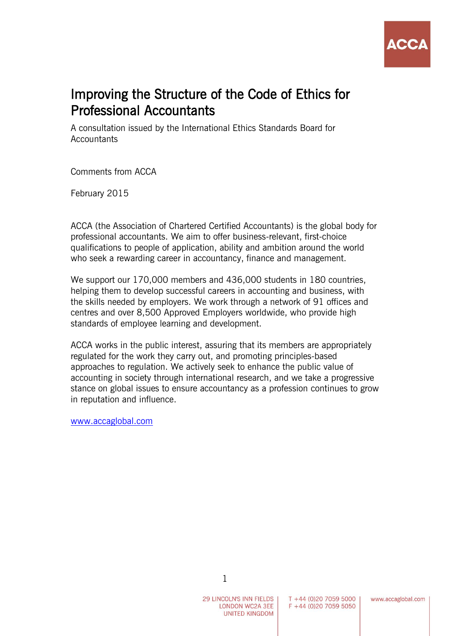

# Improving the Structure of the Code of Ethics for Professional Accountants

A consultation issued by the International Ethics Standards Board for **Accountants** 

Comments from ACCA

February 2015

ACCA (the Association of Chartered Certified Accountants) is the global body for professional accountants. We aim to offer business-relevant, first-choice qualifications to people of application, ability and ambition around the world who seek a rewarding career in accountancy, finance and management.

We support our 170,000 members and 436,000 students in 180 countries, helping them to develop successful careers in accounting and business, with the skills needed by employers. We work through a network of 91 offices and centres and over 8,500 Approved Employers worldwide, who provide high standards of employee learning and development.

ACCA works in the public interest, assuring that its members are appropriately regulated for the work they carry out, and promoting principles-based approaches to regulation. We actively seek to enhance the public value of accounting in society through international research, and we take a progressive stance on global issues to ensure accountancy as a profession continues to grow in reputation and influence.

[www.accaglobal.com](http://www.accaglobal.com/)

1

29 LINCOLN'S INN FIELDS | LONDON WC2A 3EE **UNITED KINGDOM** 

T +44 (0)20 7059 5000  $F + 44$  (0)20 7059 5050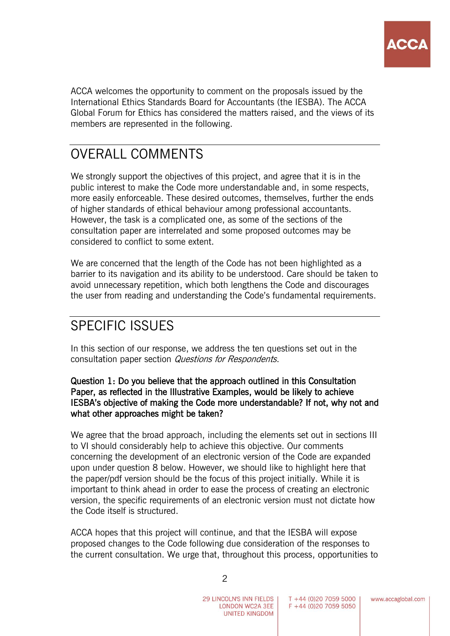

ACCA welcomes the opportunity to comment on the proposals issued by the International Ethics Standards Board for Accountants (the IESBA). The ACCA Global Forum for Ethics has considered the matters raised, and the views of its members are represented in the following.

# OVERALL COMMENTS

We strongly support the objectives of this project, and agree that it is in the public interest to make the Code more understandable and, in some respects, more easily enforceable. These desired outcomes, themselves, further the ends of higher standards of ethical behaviour among professional accountants. However, the task is a complicated one, as some of the sections of the consultation paper are interrelated and some proposed outcomes may be considered to conflict to some extent.

We are concerned that the length of the Code has not been highlighted as a barrier to its navigation and its ability to be understood. Care should be taken to avoid unnecessary repetition, which both lengthens the Code and discourages the user from reading and understanding the Code's fundamental requirements.

# SPECIFIC ISSUES

In this section of our response, we address the ten questions set out in the consultation paper section Questions for Respondents.

## Question 1: Do you believe that the approach outlined in this Consultation Paper, as reflected in the Illustrative Examples, would be likely to achieve IESBA's objective of making the Code more understandable? If not, why not and what other approaches might be taken?

We agree that the broad approach, including the elements set out in sections III to VI should considerably help to achieve this objective. Our comments concerning the development of an electronic version of the Code are expanded upon under question 8 below. However, we should like to highlight here that the paper/pdf version should be the focus of this project initially. While it is important to think ahead in order to ease the process of creating an electronic version, the specific requirements of an electronic version must not dictate how the Code itself is structured.

ACCA hopes that this project will continue, and that the IESBA will expose proposed changes to the Code following due consideration of the responses to the current consultation. We urge that, throughout this process, opportunities to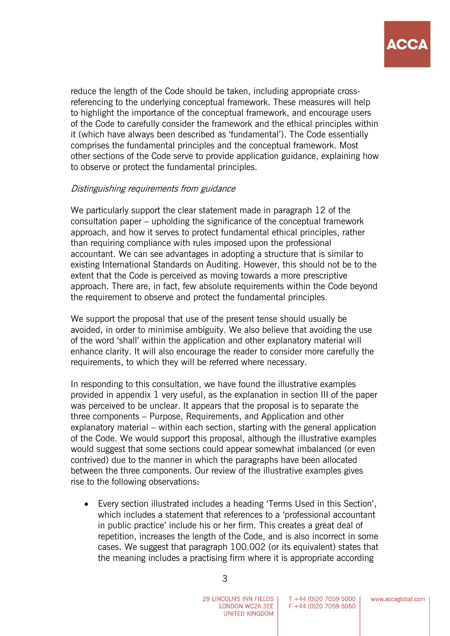reduce the length of the Code should be taken, including appropriate crossreferencing to the underlying conceptual framework. These measures will help to highlight the importance of the conceptual framework, and encourage users of the Code to carefully consider the framework and the ethical principles within it (which have always been described as 'fundamental'). The Code essentially comprises the fundamental principles and the conceptual framework. Most other sections of the Code serve to provide application guidance, explaining how to observe or protect the fundamental principles.

#### Distinguishing requirements from guidance

We particularly support the clear statement made in paragraph 12 of the consultation paper – upholding the significance of the conceptual framework approach, and how it serves to protect fundamental ethical principles, rather than requiring compliance with rules imposed upon the professional accountant. We can see advantages in adopting a structure that is similar to existing International Standards on Auditing. However, this should not be to the extent that the Code is perceived as moving towards a more prescriptive approach. There are, in fact, few absolute requirements within the Code beyond the requirement to observe and protect the fundamental principles.

We support the proposal that use of the present tense should usually be avoided, in order to minimise ambiguity. We also believe that avoiding the use of the word 'shall' within the application and other explanatory material will enhance clarity. It will also encourage the reader to consider more carefully the requirements, to which they will be referred where necessary.

In responding to this consultation, we have found the illustrative examples provided in appendix 1 very useful, as the explanation in section III of the paper was perceived to be unclear. It appears that the proposal is to separate the three components – Purpose, Requirements, and Application and other explanatory material – within each section, starting with the general application of the Code. We would support this proposal, although the illustrative examples would suggest that some sections could appear somewhat imbalanced (or even contrived) due to the manner in which the paragraphs have been allocated between the three components. Our review of the illustrative examples gives rise to the following observations:

 Every section illustrated includes a heading 'Terms Used in this Section', which includes a statement that references to a 'professional accountant in public practice' include his or her firm. This creates a great deal of repetition, increases the length of the Code, and is also incorrect in some cases. We suggest that paragraph 100.002 (or its equivalent) states that the meaning includes a practising firm where it is appropriate according

T +44 (0)20 7059 5000  $F + 44$  (0)20 7059 5050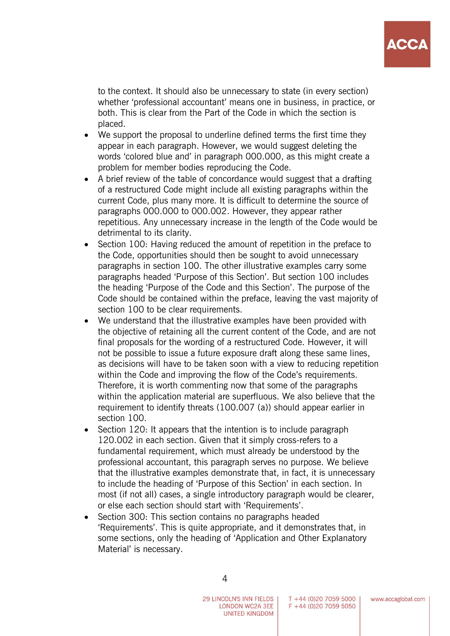to the context. It should also be unnecessary to state (in every section) whether 'professional accountant' means one in business, in practice, or both. This is clear from the Part of the Code in which the section is placed.

- We support the proposal to underline defined terms the first time they appear in each paragraph. However, we would suggest deleting the words 'colored blue and' in paragraph 000.000, as this might create a problem for member bodies reproducing the Code.
- A brief review of the table of concordance would suggest that a drafting of a restructured Code might include all existing paragraphs within the current Code, plus many more. It is difficult to determine the source of paragraphs 000.000 to 000.002. However, they appear rather repetitious. Any unnecessary increase in the length of the Code would be detrimental to its clarity.
- Section 100: Having reduced the amount of repetition in the preface to the Code, opportunities should then be sought to avoid unnecessary paragraphs in section 100. The other illustrative examples carry some paragraphs headed 'Purpose of this Section'. But section 100 includes the heading 'Purpose of the Code and this Section'. The purpose of the Code should be contained within the preface, leaving the vast majority of section 100 to be clear requirements.
- We understand that the illustrative examples have been provided with the objective of retaining all the current content of the Code, and are not final proposals for the wording of a restructured Code. However, it will not be possible to issue a future exposure draft along these same lines, as decisions will have to be taken soon with a view to reducing repetition within the Code and improving the flow of the Code's requirements. Therefore, it is worth commenting now that some of the paragraphs within the application material are superfluous. We also believe that the requirement to identify threats (100.007 (a)) should appear earlier in section 100.
- Section 120: It appears that the intention is to include paragraph 120.002 in each section. Given that it simply cross-refers to a fundamental requirement, which must already be understood by the professional accountant, this paragraph serves no purpose. We believe that the illustrative examples demonstrate that, in fact, it is unnecessary to include the heading of 'Purpose of this Section' in each section. In most (if not all) cases, a single introductory paragraph would be clearer, or else each section should start with 'Requirements'.
- Section 300: This section contains no paragraphs headed 'Requirements'. This is quite appropriate, and it demonstrates that, in some sections, only the heading of 'Application and Other Explanatory Material' is necessary.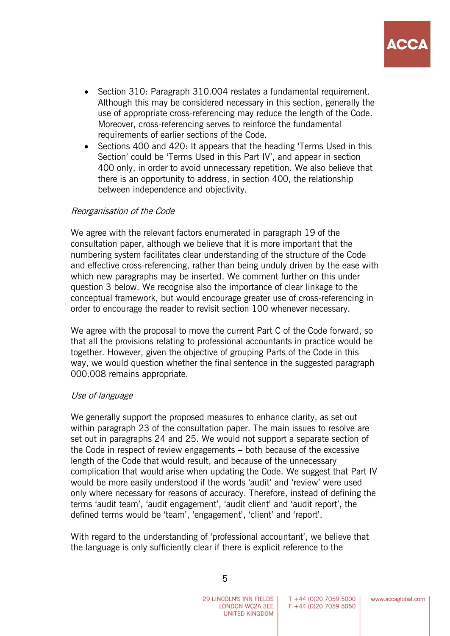- Section 310: Paragraph 310.004 restates a fundamental requirement. Although this may be considered necessary in this section, generally the use of appropriate cross-referencing may reduce the length of the Code. Moreover, cross-referencing serves to reinforce the fundamental requirements of earlier sections of the Code.
- Sections 400 and 420: It appears that the heading 'Terms Used in this Section' could be 'Terms Used in this Part IV', and appear in section 400 only, in order to avoid unnecessary repetition. We also believe that there is an opportunity to address, in section 400, the relationship between independence and objectivity.

### Reorganisation of the Code

We agree with the relevant factors enumerated in paragraph 19 of the consultation paper, although we believe that it is more important that the numbering system facilitates clear understanding of the structure of the Code and effective cross-referencing, rather than being unduly driven by the ease with which new paragraphs may be inserted. We comment further on this under question 3 below. We recognise also the importance of clear linkage to the conceptual framework, but would encourage greater use of cross-referencing in order to encourage the reader to revisit section 100 whenever necessary.

We agree with the proposal to move the current Part C of the Code forward, so that all the provisions relating to professional accountants in practice would be together. However, given the objective of grouping Parts of the Code in this way, we would question whether the final sentence in the suggested paragraph 000.008 remains appropriate.

#### Use of language

We generally support the proposed measures to enhance clarity, as set out within paragraph 23 of the consultation paper. The main issues to resolve are set out in paragraphs 24 and 25. We would not support a separate section of the Code in respect of review engagements – both because of the excessive length of the Code that would result, and because of the unnecessary complication that would arise when updating the Code. We suggest that Part IV would be more easily understood if the words 'audit' and 'review' were used only where necessary for reasons of accuracy. Therefore, instead of defining the terms 'audit team', 'audit engagement', 'audit client' and 'audit report', the defined terms would be 'team', 'engagement', 'client' and 'report'.

With regard to the understanding of 'professional accountant', we believe that the language is only sufficiently clear if there is explicit reference to the

29 LINCOLN'S INN FIELDS | LONDON WC2A 3EE **UNITED KINGDOM** 

T +44 (0)20 7059 5000  $F + 44$  (0)20 7059 5050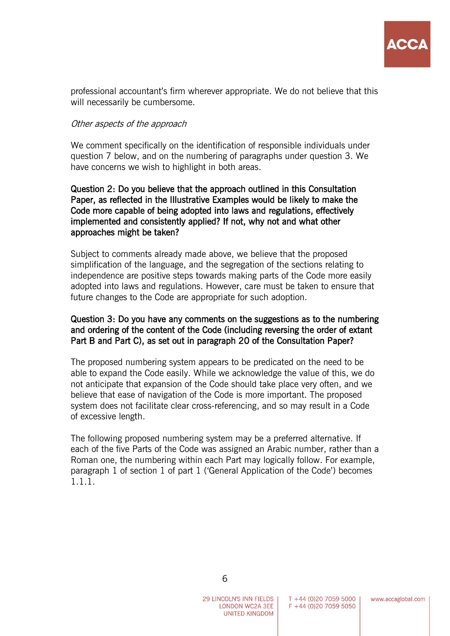

professional accountant's firm wherever appropriate. We do not believe that this will necessarily be cumbersome.

#### Other aspects of the approach

We comment specifically on the identification of responsible individuals under question 7 below, and on the numbering of paragraphs under question 3. We have concerns we wish to highlight in both areas.

#### Question 2: Do you believe that the approach outlined in this Consultation Paper, as reflected in the Illustrative Examples would be likely to make the Code more capable of being adopted into laws and regulations, effectively implemented and consistently applied? If not, why not and what other approaches might be taken?

Subject to comments already made above, we believe that the proposed simplification of the language, and the segregation of the sections relating to independence are positive steps towards making parts of the Code more easily adopted into laws and regulations. However, care must be taken to ensure that future changes to the Code are appropriate for such adoption.

#### Question 3: Do you have any comments on the suggestions as to the numbering and ordering of the content of the Code (including reversing the order of extant Part B and Part C), as set out in paragraph 20 of the Consultation Paper?

The proposed numbering system appears to be predicated on the need to be able to expand the Code easily. While we acknowledge the value of this, we do not anticipate that expansion of the Code should take place very often, and we believe that ease of navigation of the Code is more important. The proposed system does not facilitate clear cross-referencing, and so may result in a Code of excessive length.

The following proposed numbering system may be a preferred alternative. If each of the five Parts of the Code was assigned an Arabic number, rather than a Roman one, the numbering within each Part may logically follow. For example, paragraph 1 of section 1 of part 1 ('General Application of the Code') becomes 1.1.1.

6

29 LINCOLN'S INN FIELDS | LONDON WC2A 3EE **UNITED KINGDOM** 

T +44 (0)20 7059 5000  $F + 44$  (0)20 7059 5050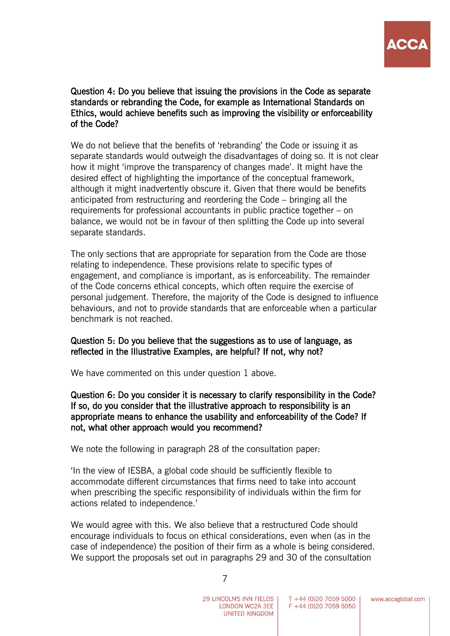

Question 4: Do you believe that issuing the provisions in the Code as separate standards or rebranding the Code, for example as International Standards on Ethics, would achieve benefits such as improving the visibility or enforceability of the Code?

We do not believe that the benefits of 'rebranding' the Code or issuing it as separate standards would outweigh the disadvantages of doing so. It is not clear how it might 'improve the transparency of changes made'. It might have the desired effect of highlighting the importance of the conceptual framework, although it might inadvertently obscure it. Given that there would be benefits anticipated from restructuring and reordering the Code – bringing all the requirements for professional accountants in public practice together – on balance, we would not be in favour of then splitting the Code up into several separate standards.

The only sections that are appropriate for separation from the Code are those relating to independence. These provisions relate to specific types of engagement, and compliance is important, as is enforceability. The remainder of the Code concerns ethical concepts, which often require the exercise of personal judgement. Therefore, the majority of the Code is designed to influence behaviours, and not to provide standards that are enforceable when a particular benchmark is not reached.

#### Question 5: Do you believe that the suggestions as to use of language, as reflected in the Illustrative Examples, are helpful? If not, why not?

We have commented on this under question 1 above.

Question 6: Do you consider it is necessary to clarify responsibility in the Code? If so, do you consider that the illustrative approach to responsibility is an appropriate means to enhance the usability and enforceability of the Code? If not, what other approach would you recommend?

We note the following in paragraph 28 of the consultation paper:

'In the view of IESBA, a global code should be sufficiently flexible to accommodate different circumstances that firms need to take into account when prescribing the specific responsibility of individuals within the firm for actions related to independence.'

We would agree with this. We also believe that a restructured Code should encourage individuals to focus on ethical considerations, even when (as in the case of independence) the position of their firm as a whole is being considered. We support the proposals set out in paragraphs 29 and 30 of the consultation

29 LINCOLN'S INN FIELDS | LONDON WC2A 3EE **UNITED KINGDOM** 

T +44 (0)20 7059 5000  $F + 44$  (0)20 7059 5050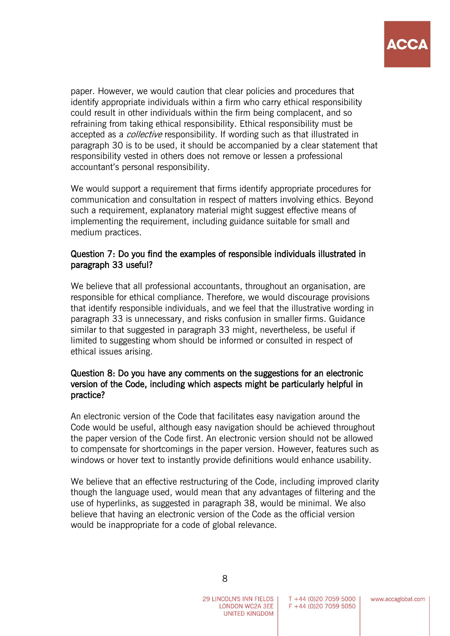paper. However, we would caution that clear policies and procedures that identify appropriate individuals within a firm who carry ethical responsibility could result in other individuals within the firm being complacent, and so refraining from taking ethical responsibility. Ethical responsibility must be accepted as a *collective* responsibility. If wording such as that illustrated in paragraph 30 is to be used, it should be accompanied by a clear statement that responsibility vested in others does not remove or lessen a professional accountant's personal responsibility.

We would support a requirement that firms identify appropriate procedures for communication and consultation in respect of matters involving ethics. Beyond such a requirement, explanatory material might suggest effective means of implementing the requirement, including guidance suitable for small and medium practices.

### Question 7: Do you find the examples of responsible individuals illustrated in paragraph 33 useful?

We believe that all professional accountants, throughout an organisation, are responsible for ethical compliance. Therefore, we would discourage provisions that identify responsible individuals, and we feel that the illustrative wording in paragraph 33 is unnecessary, and risks confusion in smaller firms. Guidance similar to that suggested in paragraph 33 might, nevertheless, be useful if limited to suggesting whom should be informed or consulted in respect of ethical issues arising.

## Question 8: Do you have any comments on the suggestions for an electronic version of the Code, including which aspects might be particularly helpful in practice?

An electronic version of the Code that facilitates easy navigation around the Code would be useful, although easy navigation should be achieved throughout the paper version of the Code first. An electronic version should not be allowed to compensate for shortcomings in the paper version. However, features such as windows or hover text to instantly provide definitions would enhance usability.

We believe that an effective restructuring of the Code, including improved clarity though the language used, would mean that any advantages of filtering and the use of hyperlinks, as suggested in paragraph 38, would be minimal. We also believe that having an electronic version of the Code as the official version would be inappropriate for a code of global relevance.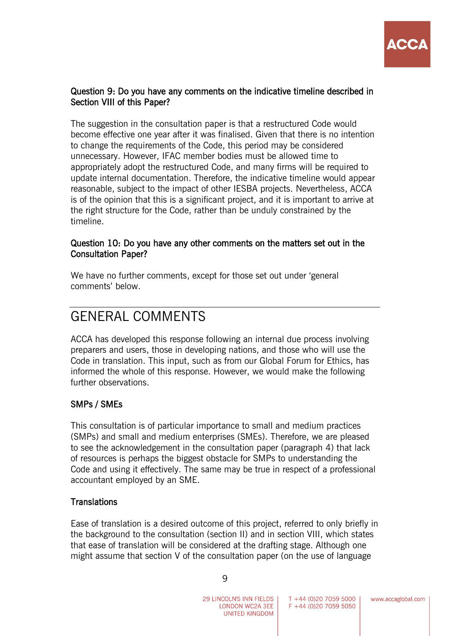

#### Question 9: Do you have any comments on the indicative timeline described in Section VIII of this Paper?

The suggestion in the consultation paper is that a restructured Code would become effective one year after it was finalised. Given that there is no intention to change the requirements of the Code, this period may be considered unnecessary. However, IFAC member bodies must be allowed time to appropriately adopt the restructured Code, and many firms will be required to update internal documentation. Therefore, the indicative timeline would appear reasonable, subject to the impact of other IESBA projects. Nevertheless, ACCA is of the opinion that this is a significant project, and it is important to arrive at the right structure for the Code, rather than be unduly constrained by the timeline.

### Question 10: Do you have any other comments on the matters set out in the Consultation Paper?

We have no further comments, except for those set out under 'general comments' below.

# GENERAL COMMENTS

ACCA has developed this response following an internal due process involving preparers and users, those in developing nations, and those who will use the Code in translation. This input, such as from our Global Forum for Ethics, has informed the whole of this response. However, we would make the following further observations.

# SMPs / SMEs

This consultation is of particular importance to small and medium practices (SMPs) and small and medium enterprises (SMEs). Therefore, we are pleased to see the acknowledgement in the consultation paper (paragraph 4) that lack of resources is perhaps the biggest obstacle for SMPs to understanding the Code and using it effectively. The same may be true in respect of a professional accountant employed by an SME.

# **Translations**

Ease of translation is a desired outcome of this project, referred to only briefly in the background to the consultation (section II) and in section VIII, which states that ease of translation will be considered at the drafting stage. Although one might assume that section V of the consultation paper (on the use of language

9

29 LINCOLN'S INN FIELDS | LONDON WC2A 3EE **UNITED KINGDOM** 

T +44 (0)20 7059 5000  $F + 44$  (0)20 7059 5050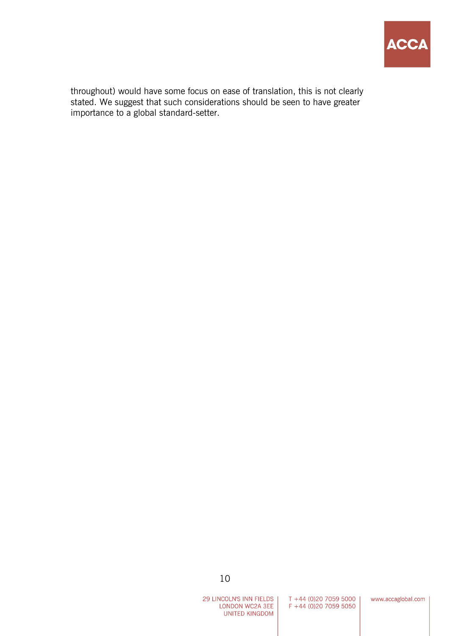

throughout) would have some focus on ease of translation, this is not clearly stated. We suggest that such considerations should be seen to have greater importance to a global standard-setter.

29 LINCOLN'S INN FIELDS | LONDON WC2A 3EE **UNITED KINGDOM** 

T +44 (0)20 7059 5000 F +44 (0)20 7059 5050